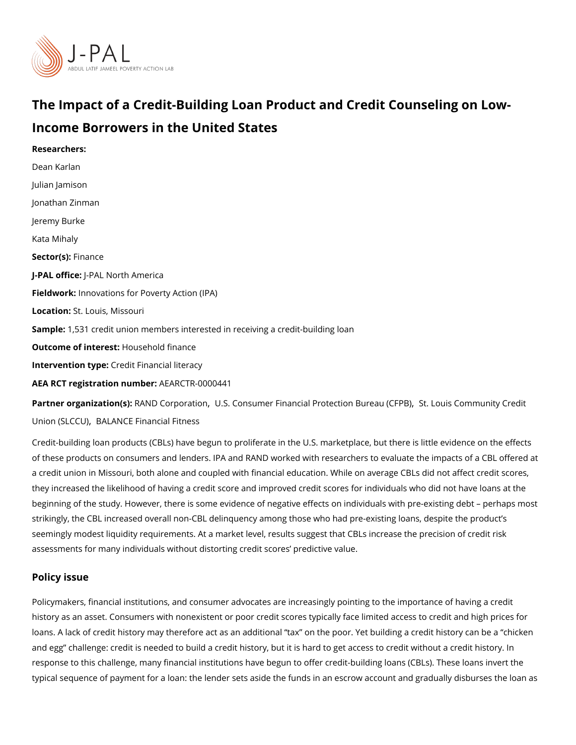# The Impact of a Credit-Building Loan Product and Credit Co Income Borrowers in the United States

Researchers: [Dean Ka](https://www.povertyactionlab.org/person/karlan)rlan [Julian Ja](https://www.povertyactionlab.org/person/jamison)mison [Jonathan Z](https://www.povertyactionlab.org/person/zinman)inman Jeremy Burke Kata Mihaly Sector(Fsi)nance J-PAL of Ui-CPEAL North America Fieldworkhovations for Poverty Action (IPA) Locatioßt. Louis, Missouri Sample: 531 credit union members interested in receiving a credit-building loan Outcome of intehesisehold finance Intervention topedit Financial literacy AEA RCT registration ArEuAnRbCeTR-0000441 Partner organizatRoAnN B) Corporaltion Consumer Financial ProtectioSht. Bluoeasu COF FIPHBu) nity Cred

[Union \(SL](https://www.povertyactionlab.org/partners/st-louis-community-credit-union-slccu)CBCALL) ANCE Financial Fitness

Credit-building loan products (CBLs) have begun to proliferate in the U.S. marketplace, b of these products on consumers and lenders. IPA and RAND worked with researchers to ev a credit union in Missouri, both alone and coupled with financial education. While on aver they increased the likelihood of having a credit score and improved credit scores for indibeginning of the study. However, there is some evidence of negative effects on individual strikingly, the CBL increased overall non-CBL delinquency among those who had pre-exist seemingly modest liquidity requirements. At a market level, results suggest that CBLs inc assessments for many individuals without distorting credit scores predictive value.

### Policy issue

Policymakers, financial institutions, and consumer advocates are increasingly pointing to history as an asset. Consumers with nonexistent or poor credit scores typically face limit loans. A lack of credit history may therefore act as an additional tax on the poor. Yet be and egg challenge: credit is needed to build a credit history, but it is hard to get access response to this challenge, many financial institutions have begun to offer credit-building typical sequence of payment for a loan: the lender sets aside the funds in an escrow acco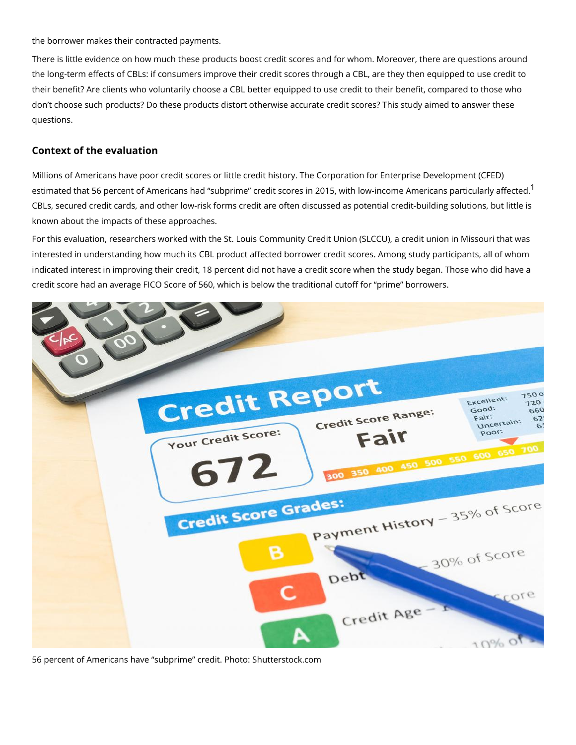#### the borrower makes their contracted payments.

There is little evidence on how much these products boost credit scores and for whom. Mo the long-term effects of CBLs: if consumers improve their credit scores through a CBL, are their benefit? Are clients who voluntarily choose a CBL better equipped to use credit to t don t choose such products? Do these products distort otherwise accurate credit scores? questions.

#### Context of the evaluation

Millions of Americans have poor credit scores or little credit history. The Corporation for estimated that 56 percent of Americans had subprime credit scores in 20[1](#page-3-0)5, with low-inc CBLs, secured credit cards, and other low-risk forms credit are often discussed as potent known about the impacts of these approaches.

For this evaluation, researchers worked with the St. Louis Community Credit Union (SLCC interested in understanding how much its CBL product affected borrower credit scores. An indicated interest in improving their credit, 18 percent did not have a credit score when t credit score had an average FICO Score of 560, which is below the traditional cutoff for

56 percent of Americans have subprime credit. Photo: Shutterstock.com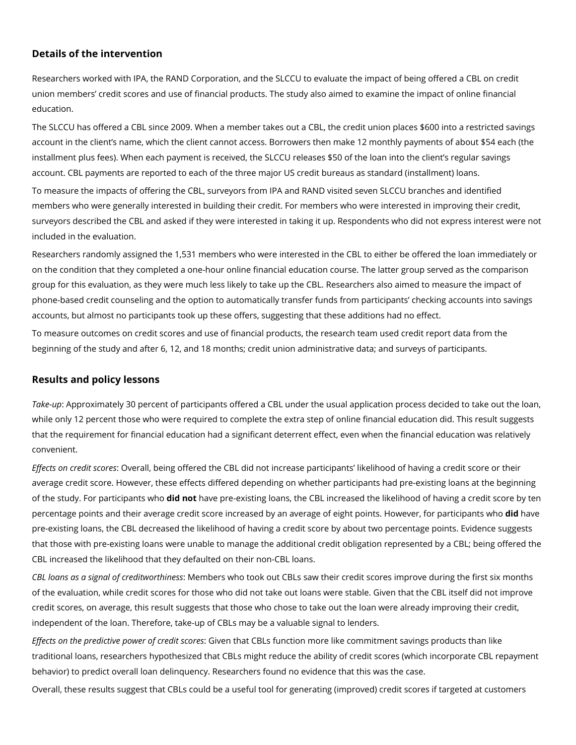## **Details of the intervention**

Researchers worked with IPA, the RAND Corporation, and the SLCCU to evaluate the impact of being offered a CBL on credit union members' credit scores and use of financial products. The study also aimed to examine the impact of online financial education.

The SLCCU has offered a CBL since 2009. When a member takes out a CBL, the credit union places \$600 into a restricted savings account in the client's name, which the client cannot access. Borrowers then make 12 monthly payments of about \$54 each (the installment plus fees). When each payment is received, the SLCCU releases \$50 of the loan into the client's regular savings account. CBL payments are reported to each of the three major US credit bureaus as standard (installment) loans.

To measure the impacts of offering the CBL, surveyors from IPA and RAND visited seven SLCCU branches and identified members who were generally interested in building their credit. For members who were interested in improving their credit, surveyors described the CBL and asked if they were interested in taking it up. Respondents who did not express interest were not included in the evaluation.

Researchers randomly assigned the 1,531 members who were interested in the CBL to either be offered the loan immediately or on the condition that they completed a one-hour online financial education course. The latter group served as the comparison group for this evaluation, as they were much less likely to take up the CBL. Researchers also aimed to measure the impact of phone-based credit counseling and the option to automatically transfer funds from participants' checking accounts into savings accounts, but almost no participants took up these offers, suggesting that these additions had no effect.

To measure outcomes on credit scores and use of financial products, the research team used credit report data from the beginning of the study and after 6, 12, and 18 months; credit union administrative data; and surveys of participants.

## **Results and policy lessons**

*Take-up*: Approximately 30 percent of participants offered a CBL under the usual application process decided to take out the loan, while only 12 percent those who were required to complete the extra step of online financial education did. This result suggests that the requirement for financial education had a significant deterrent effect, even when the financial education was relatively convenient.

*Effects on credit scores*: Overall, being offered the CBL did not increase participants' likelihood of having a credit score or their average credit score. However, these effects differed depending on whether participants had pre-existing loans at the beginning of the study. For participants who **did not** have pre-existing loans, the CBL increased the likelihood of having a credit score by ten percentage points and their average credit score increased by an average of eight points. However, for participants who **did** have pre-existing loans, the CBL decreased the likelihood of having a credit score by about two percentage points. Evidence suggests that those with pre-existing loans were unable to manage the additional credit obligation represented by a CBL; being offered the CBL increased the likelihood that they defaulted on their non-CBL loans.

*CBL loans as a signal of creditworthiness*: Members who took out CBLs saw their credit scores improve during the first six months of the evaluation, while credit scores for those who did not take out loans were stable. Given that the CBL itself did not improve credit scores, on average, this result suggests that those who chose to take out the loan were already improving their credit, independent of the loan. Therefore, take-up of CBLs may be a valuable signal to lenders.

*Effects on the predictive power of credit scores*: Given that CBLs function more like commitment savings products than like traditional loans, researchers hypothesized that CBLs might reduce the ability of credit scores (which incorporate CBL repayment behavior) to predict overall loan delinquency. Researchers found no evidence that this was the case.

Overall, these results suggest that CBLs could be a useful tool for generating (improved) credit scores if targeted at customers